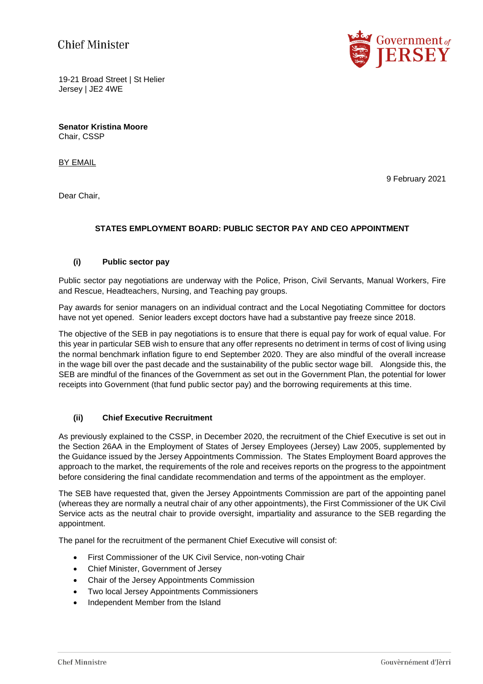## **Chief Minister**



19-21 Broad Street | St Helier Jersey | JE2 4WE

**Senator Kristina Moore** Chair, CSSP

BY EMAIL

9 February 2021

Dear Chair,

## **STATES EMPLOYMENT BOARD: PUBLIC SECTOR PAY AND CEO APPOINTMENT**

## **(i) Public sector pay**

Public sector pay negotiations are underway with the Police, Prison, Civil Servants, Manual Workers, Fire and Rescue, Headteachers, Nursing, and Teaching pay groups.

Pay awards for senior managers on an individual contract and the Local Negotiating Committee for doctors have not yet opened. Senior leaders except doctors have had a substantive pay freeze since 2018.

The objective of the SEB in pay negotiations is to ensure that there is equal pay for work of equal value. For this year in particular SEB wish to ensure that any offer represents no detriment in terms of cost of living using the normal benchmark inflation figure to end September 2020. They are also mindful of the overall increase in the wage bill over the past decade and the sustainability of the public sector wage bill. Alongside this, the SEB are mindful of the finances of the Government as set out in the Government Plan, the potential for lower receipts into Government (that fund public sector pay) and the borrowing requirements at this time.

## **(ii) Chief Executive Recruitment**

As previously explained to the CSSP, in December 2020, the recruitment of the Chief Executive is set out in the Section 26AA in the Employment of States of Jersey Employees (Jersey) Law 2005, supplemented by the Guidance issued by the Jersey Appointments Commission. The States Employment Board approves the approach to the market, the requirements of the role and receives reports on the progress to the appointment before considering the final candidate recommendation and terms of the appointment as the employer.

The SEB have requested that, given the Jersey Appointments Commission are part of the appointing panel (whereas they are normally a neutral chair of any other appointments), the First Commissioner of the UK Civil Service acts as the neutral chair to provide oversight, impartiality and assurance to the SEB regarding the appointment.

The panel for the recruitment of the permanent Chief Executive will consist of:

- First Commissioner of the UK Civil Service, non-voting Chair
- Chief Minister, Government of Jersey
- Chair of the Jersey Appointments Commission
- Two local Jersey Appointments Commissioners
- Independent Member from the Island